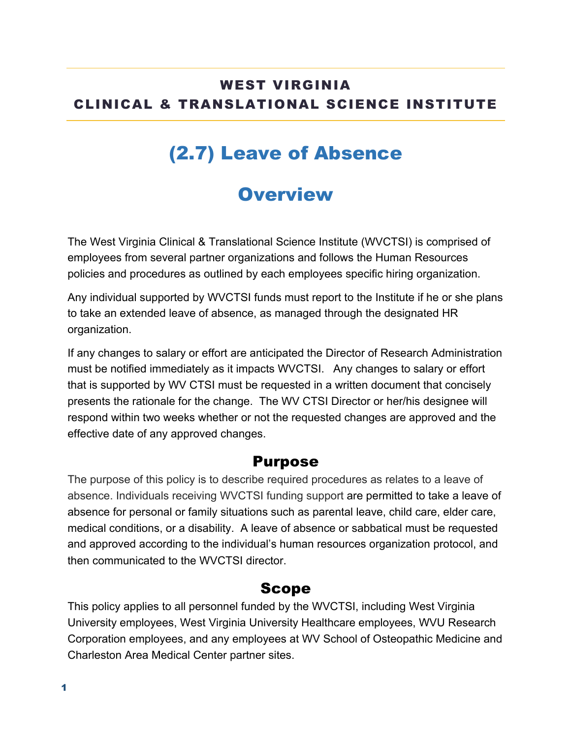### WEST VIRGINIA CLINICAL & TRANSLATIONAL SCIENCE INSTITUTE

## (2.7) Leave of Absence

## **Overview**

The West Virginia Clinical & Translational Science Institute (WVCTSI) is comprised of employees from several partner organizations and follows the Human Resources policies and procedures as outlined by each employees specific hiring organization.

Any individual supported by WVCTSI funds must report to the Institute if he or she plans to take an extended leave of absence, as managed through the designated HR organization.

If any changes to salary or effort are anticipated the Director of Research Administration must be notified immediately as it impacts WVCTSI. Any changes to salary or effort that is supported by WV CTSI must be requested in a written document that concisely presents the rationale for the change. The WV CTSI Director or her/his designee will respond within two weeks whether or not the requested changes are approved and the effective date of any approved changes.

#### Purpose

The purpose of this policy is to describe required procedures as relates to a leave of absence. Individuals receiving WVCTSI funding support are permitted to take a leave of absence for personal or family situations such as parental leave, child care, elder care, medical conditions, or a disability. A leave of absence or sabbatical must be requested and approved according to the individual's human resources organization protocol, and then communicated to the WVCTSI director.

#### Scope

This policy applies to all personnel funded by the WVCTSI, including West Virginia University employees, West Virginia University Healthcare employees, WVU Research Corporation employees, and any employees at WV School of Osteopathic Medicine and Charleston Area Medical Center partner sites.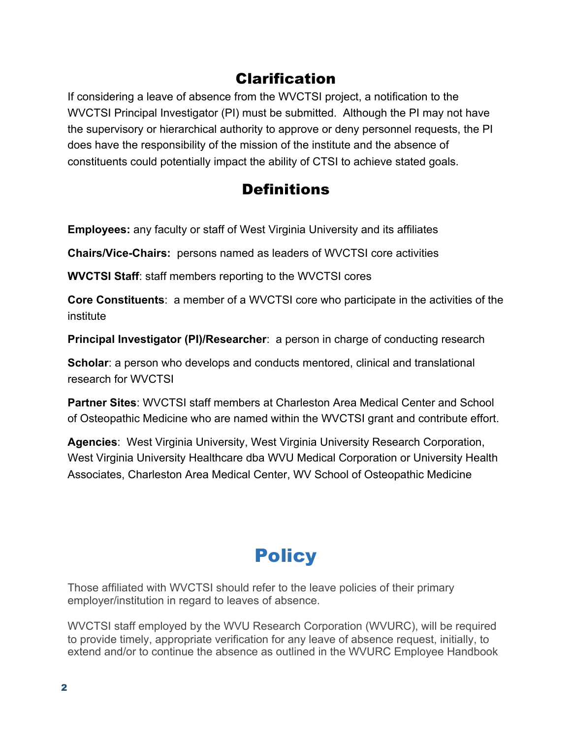### Clarification

If considering a leave of absence from the WVCTSI project, a notification to the WVCTSI Principal Investigator (PI) must be submitted. Although the PI may not have the supervisory or hierarchical authority to approve or deny personnel requests, the PI does have the responsibility of the mission of the institute and the absence of constituents could potentially impact the ability of CTSI to achieve stated goals.

### **Definitions**

**Employees:** any faculty or staff of West Virginia University and its affiliates

**Chairs/Vice-Chairs:** persons named as leaders of WVCTSI core activities

**WVCTSI Staff**: staff members reporting to the WVCTSI cores

**Core Constituents**: a member of a WVCTSI core who participate in the activities of the institute

**Principal Investigator (PI)/Researcher**: a person in charge of conducting research

**Scholar**: a person who develops and conducts mentored, clinical and translational research for WVCTSI

**Partner Sites**: WVCTSI staff members at Charleston Area Medical Center and School of Osteopathic Medicine who are named within the WVCTSI grant and contribute effort.

**Agencies**: West Virginia University, West Virginia University Research Corporation, West Virginia University Healthcare dba WVU Medical Corporation or University Health Associates, Charleston Area Medical Center, WV School of Osteopathic Medicine

# **Policy**

Those affiliated with WVCTSI should refer to the leave policies of their primary employer/institution in regard to leaves of absence.

WVCTSI staff employed by the WVU Research Corporation (WVURC), will be required to provide timely, appropriate verification for any leave of absence request, initially, to extend and/or to continue the absence as outlined in the WVURC Employee Handbook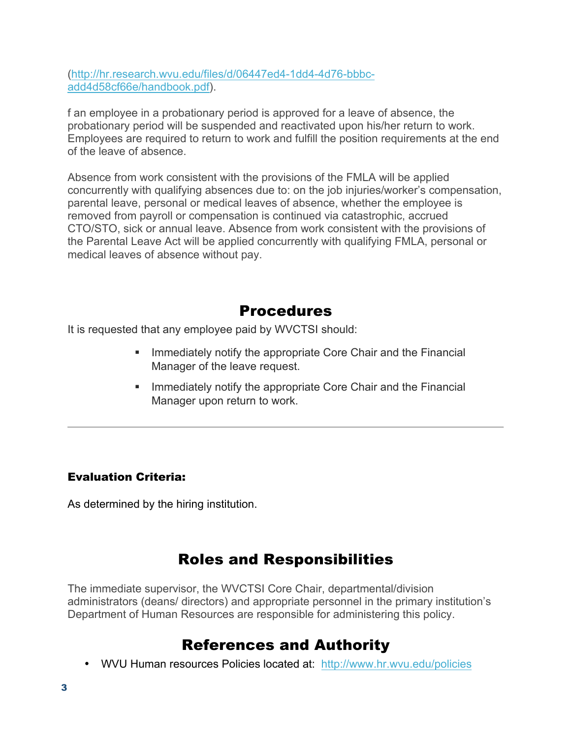(http://hr.research.wvu.edu/files/d/06447ed4-1dd4-4d76-bbbcadd4d58cf66e/handbook.pdf).

f an employee in a probationary period is approved for a leave of absence, the probationary period will be suspended and reactivated upon his/her return to work. Employees are required to return to work and fulfill the position requirements at the end of the leave of absence.

Absence from work consistent with the provisions of the FMLA will be applied concurrently with qualifying absences due to: on the job injuries/worker's compensation, parental leave, personal or medical leaves of absence, whether the employee is removed from payroll or compensation is continued via catastrophic, accrued CTO/STO, sick or annual leave. Absence from work consistent with the provisions of the Parental Leave Act will be applied concurrently with qualifying FMLA, personal or medical leaves of absence without pay.

### Procedures

It is requested that any employee paid by WVCTSI should:

- Immediately notify the appropriate Core Chair and the Financial Manager of the leave request.
- Immediately notify the appropriate Core Chair and the Financial Manager upon return to work.

#### Evaluation Criteria:

As determined by the hiring institution.

### Roles and Responsibilities

The immediate supervisor, the WVCTSI Core Chair, departmental/division administrators (deans/ directors) and appropriate personnel in the primary institution's Department of Human Resources are responsible for administering this policy.

### References and Authority

• WVU Human resources Policies located at: http://www.hr.wvu.edu/policies